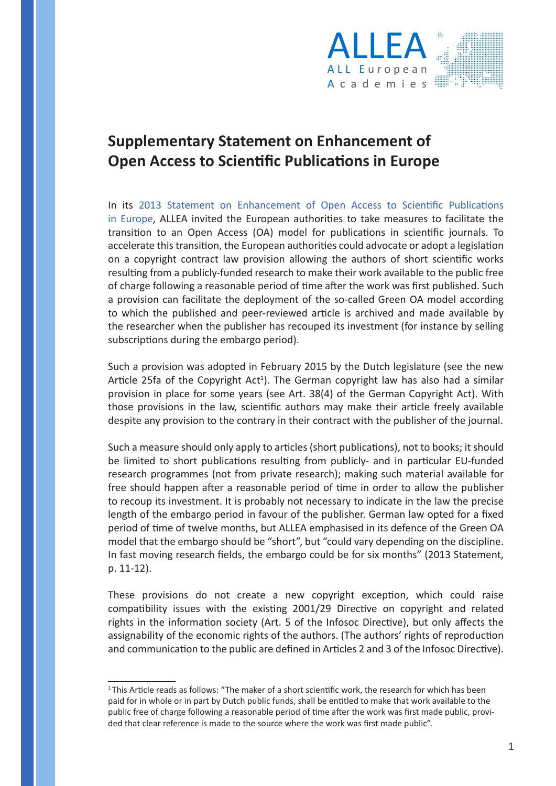

## **Supplementary Statement on Enhancement of Open Access to Scientific Publications in Europe**

In its [2013 Statement on Enhancement of Open Access to Scientific Publications](http://allea.org/Content/ALLEA/Statement_ALLEA_Open_Access_2013-11.pdf)  [in Europe](http://allea.org/Content/ALLEA/Statement_ALLEA_Open_Access_2013-11.pdf), ALLEA invited the European authorities to take measures to facilitate the transition to an Open Access (OA) model for publications in scientific journals. To accelerate this transition, the European authorities could advocate or adopt a legislation on a copyright contract law provision allowing the authors of short scientific works resulting from a publicly-funded research to make their work available to the public free of charge following a reasonable period of time after the work was first published. Such a provision can facilitate the deployment of the so-called Green OA model according to which the published and peer-reviewed article is archived and made available by the researcher when the publisher has recouped its investment (for instance by selling subscriptions during the embargo period).

Such a provision was adopted in February 2015 by the Dutch legislature (see the new Article 25fa of the Copyright Act<sup>1</sup>). The German copyright law has also had a similar provision in place for some years (see Art. 38(4) of the German Copyright Act). With those provisions in the law, scientific authors may make their article freely available despite any provision to the contrary in their contract with the publisher of the journal.

Such a measure should only apply to articles (short publications), not to books; it should be limited to short publications resulting from publicly- and in particular EU-funded research programmes (not from private research); making such material available for free should happen after a reasonable period of time in order to allow the publisher to recoup its investment. It is probably not necessary to indicate in the law the precise length of the embargo period in favour of the publisher. German law opted for a fixed period of time of twelve months, but ALLEA emphasised in its defence of the Green OA model that the embargo should be "short", but "could vary depending on the discipline. In fast moving research fields, the embargo could be for six months" (2013 Statement, p. 11-12).

These provisions do not create a new copyright exception, which could raise compatibility issues with the existing 2001/29 Directive on copyright and related rights in the information society (Art. 5 of the Infosoc Directive), but only affects the assignability of the economic rights of the authors. (The authors' rights of reproduction and communication to the public are defined in Articles 2 and 3 of the Infosoc Directive).

<sup>&</sup>lt;sup>1</sup>This Article reads as follows: "The maker of a short scientific work, the research for which has been paid for in whole or in part by Dutch public funds, shall be entitled to make that work available to the public free of charge following a reasonable period of time after the work was first made public, provided that clear reference is made to the source where the work was first made public".